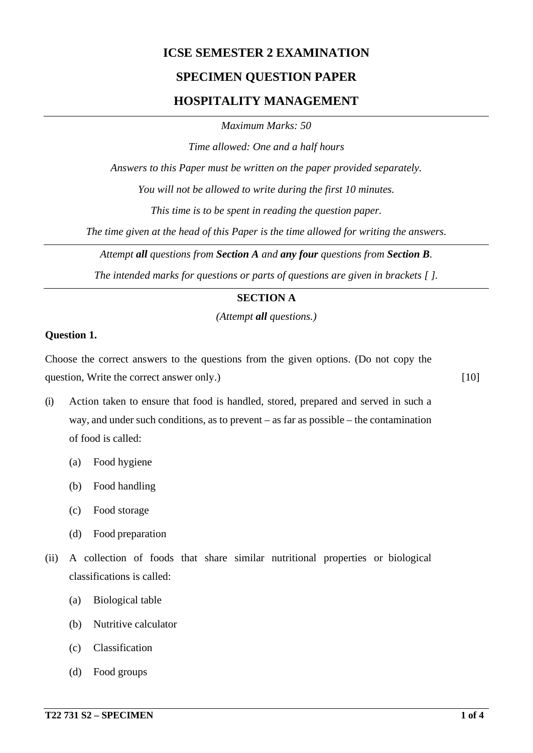# **ICSE SEMESTER 2 EXAMINATION**

## **SPECIMEN QUESTION PAPER**

## **HOSPITALITY MANAGEMENT**

*Maximum Marks: 50*

*Time allowed: One and a half hours*

*Answers to this Paper must be written on the paper provided separately.*

*You will not be allowed to write during the first 10 minutes.*

*This time is to be spent in reading the question paper.*

*The time given at the head of this Paper is the time allowed for writing the answers.*

*Attempt all questions from Section A and any four questions from Section B.*

*The intended marks for questions or parts of questions are given in brackets [ ].*

### **SECTION A**

*(Attempt all questions.)*

#### **Question 1.**

Choose the correct answers to the questions from the given options. (Do not copy the question, Write the correct answer only.) [10]

- (i) Action taken to ensure that food is handled, stored, prepared and served in such a way, and under such conditions, as to prevent – as far as possible – the contamination of food is called:
	- (a) Food hygiene
	- (b) Food handling
	- (c) Food storage
	- (d) Food preparation
- (ii) A collection of foods that share similar nutritional properties or biological classifications is called:
	- (a) Biological table
	- (b) Nutritive calculator
	- (c) Classification
	- (d) Food groups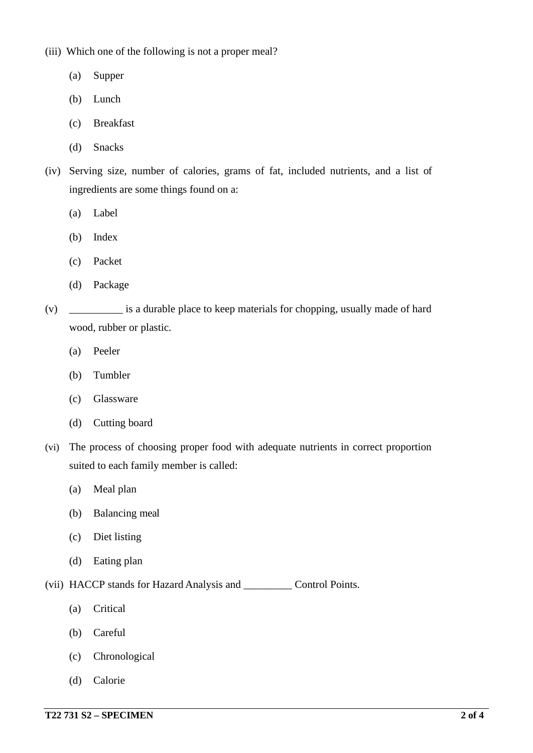(iii) Which one of the following is not a proper meal?

- (a) Supper
- (b) Lunch
- (c) Breakfast
- (d) Snacks
- (iv) Serving size, number of calories, grams of fat, included nutrients, and a list of ingredients are some things found on a:
	- (a) Label
	- (b) Index
	- (c) Packet
	- (d) Package
- (v) \_\_\_\_\_\_\_\_\_\_ is a durable place to keep materials for chopping, usually made of hard wood, rubber or plastic.
	- (a) Peeler
	- (b) Tumbler
	- (c) Glassware
	- (d) Cutting board
- (vi) The process of choosing proper food with adequate nutrients in correct proportion suited to each family member is called:
	- (a) Meal plan
	- (b) Balancing meal
	- (c) Diet listing
	- (d) Eating plan

(vii) HACCP stands for Hazard Analysis and \_\_\_\_\_\_\_\_\_ Control Points.

- (a) Critical
- (b) Careful
- (c) Chronological
- (d) Calorie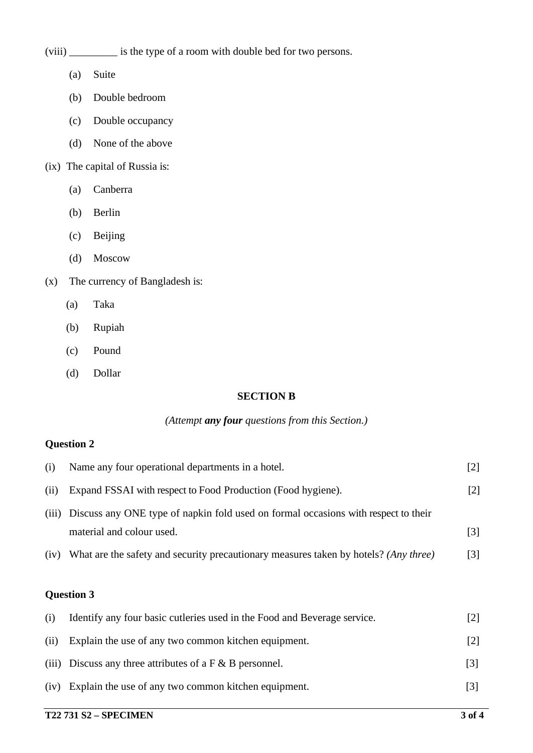(viii) \_\_\_\_\_\_\_\_\_ is the type of a room with double bed for two persons.

- (a) Suite
- (b) Double bedroom
- (c) Double occupancy
- (d) None of the above
- (ix) The capital of Russia is:
	- (a) Canberra
	- (b) Berlin
	- (c) Beijing
	- (d) Moscow
- (x) The currency of Bangladesh is:
	- (a) Taka
	- (b) Rupiah
	- (c) Pound
	- (d) Dollar

### **SECTION B**

#### *(Attempt any four questions from this Section.)*

## **Question 2**

| (i)   | Name any four operational departments in a hotel.                                    | [2]               |
|-------|--------------------------------------------------------------------------------------|-------------------|
| (ii)  | Expand FSSAI with respect to Food Production (Food hygiene).                         | 121               |
| (iii) | Discuss any ONE type of napkin fold used on formal occasions with respect to their   |                   |
|       | material and colour used.                                                            | $\lceil 3 \rceil$ |
| (iv)  | What are the safety and security precautionary measures taken by hotels? (Any three) | [3]               |

## **Question 3**

| (i)  | Identify any four basic cutteries used in the Food and Beverage service. | 2                 |
|------|--------------------------------------------------------------------------|-------------------|
| (ii) | Explain the use of any two common kitchen equipment.                     |                   |
|      | (iii) Discuss any three attributes of a $F & B$ personnel.               | $\lceil 3 \rceil$ |
| (iv) | Explain the use of any two common kitchen equipment.                     | [3]               |
|      |                                                                          |                   |